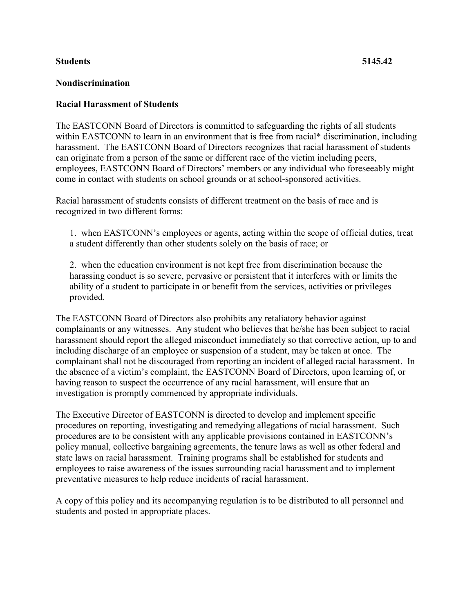## **Students 5145.42**

## **Nondiscrimination**

## **Racial Harassment of Students**

The EASTCONN Board of Directors is committed to safeguarding the rights of all students within EASTCONN to learn in an environment that is free from racial\* discrimination, including harassment. The EASTCONN Board of Directors recognizes that racial harassment of students can originate from a person of the same or different race of the victim including peers, employees, EASTCONN Board of Directors' members or any individual who foreseeably might come in contact with students on school grounds or at school-sponsored activities.

Racial harassment of students consists of different treatment on the basis of race and is recognized in two different forms:

1. when EASTCONN's employees or agents, acting within the scope of official duties, treat a student differently than other students solely on the basis of race; or

2. when the education environment is not kept free from discrimination because the harassing conduct is so severe, pervasive or persistent that it interferes with or limits the ability of a student to participate in or benefit from the services, activities or privileges provided.

The EASTCONN Board of Directors also prohibits any retaliatory behavior against complainants or any witnesses. Any student who believes that he/she has been subject to racial harassment should report the alleged misconduct immediately so that corrective action, up to and including discharge of an employee or suspension of a student, may be taken at once. The complainant shall not be discouraged from reporting an incident of alleged racial harassment. In the absence of a victim's complaint, the EASTCONN Board of Directors, upon learning of, or having reason to suspect the occurrence of any racial harassment, will ensure that an investigation is promptly commenced by appropriate individuals.

The Executive Director of EASTCONN is directed to develop and implement specific procedures on reporting, investigating and remedying allegations of racial harassment. Such procedures are to be consistent with any applicable provisions contained in EASTCONN's policy manual, collective bargaining agreements, the tenure laws as well as other federal and state laws on racial harassment. Training programs shall be established for students and employees to raise awareness of the issues surrounding racial harassment and to implement preventative measures to help reduce incidents of racial harassment.

A copy of this policy and its accompanying regulation is to be distributed to all personnel and students and posted in appropriate places.